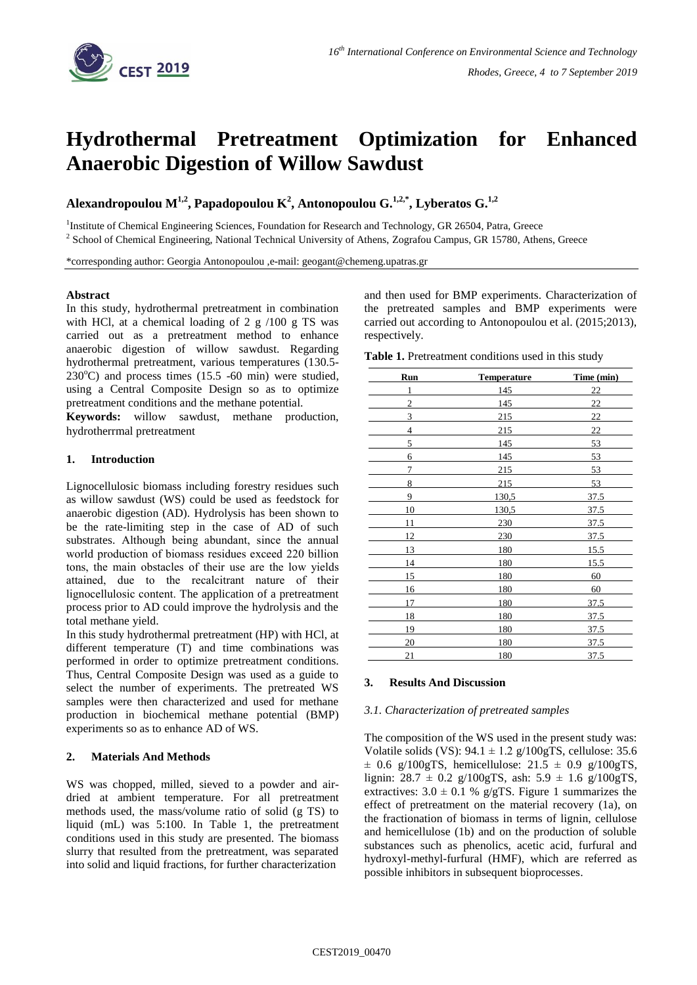

# **Hydrothermal Pretreatment Optimization for Enhanced Anaerobic Digestion of Willow Sawdust**

**Alexandropoulou M1,2, Papadopoulou K<sup>2</sup> , Antonopoulou G. 1,2,\* , Lyberatos G. 1,2**

<sup>1</sup>Institute of Chemical Engineering Sciences, Foundation for Research and Technology, GR 26504, Patra, Greece

<sup>2</sup> School of Chemical Engineering, National Technical University of Athens, Zografou Campus, GR 15780, Athens, Greece

\*corresponding author: Georgia Antonopoulou ,e-mail: geogant@chemeng.upatras.gr

### **Abstract**

In this study, hydrothermal pretreatment in combination with HCl, at a chemical loading of  $2 g / 100 g$  TS was carried out as a pretreatment method to enhance anaerobic digestion of willow sawdust. Regarding hydrothermal pretreatment, various temperatures (130.5-  $230^{\circ}$ C) and process times (15.5 -60 min) were studied, using a Central Composite Design so as to optimize pretreatment conditions and the methane potential.

**Keywords:** willow sawdust, methane production, hydrotherrmal pretreatment

#### **1. Introduction**

Lignocellulosic biomass including forestry residues such as willow sawdust (WS) could be used as feedstock for anaerobic digestion (AD). Hydrolysis has been shown to be the rate-limiting step in the case of AD of such substrates. Although being abundant, since the annual world production of biomass residues exceed 220 billion tons, the main obstacles of their use are the low yields attained, due to the recalcitrant nature of their lignocellulosic content. The application of a pretreatment process prior to AD could improve the hydrolysis and the total methane yield.

In this study hydrothermal pretreatment (HP) with HCl, at different temperature (T) and time combinations was performed in order to optimize pretreatment conditions. Thus, Central Composite Design was used as a guide to select the number of experiments. The pretreated WS samples were then characterized and used for methane production in biochemical methane potential (BMP) experiments so as to enhance AD of WS.

### **2. Materials And Methods**

WS was chopped, milled, sieved to a powder and airdried at ambient temperature. For all pretreatment methods used, the mass/volume ratio of solid (g TS) to liquid (mL) was 5:100. In Table 1, the pretreatment conditions used in this study are presented. The biomass slurry that resulted from the pretreatment, was separated into solid and liquid fractions, for further characterization

and then used for BMP experiments. Characterization of the pretreated samples and BMP experiments were carried out according to Antonopoulou et al. (2015;2013), respectively.

|  | Table 1. Pretreatment conditions used in this study |  |  |  |  |
|--|-----------------------------------------------------|--|--|--|--|
|--|-----------------------------------------------------|--|--|--|--|

| <b>Run</b>     | <b>Temperature</b> | Time (min) |
|----------------|--------------------|------------|
| 1              | 145                | 22         |
| $\overline{2}$ | 145                | 22         |
| 3              | 215                | 22         |
| 4              | 215                | 22         |
| 5              | 145                | 53         |
| 6              | 145                | 53         |
| 7              | 215                | 53         |
| 8              | 215                | 53         |
| 9              | 130,5              | 37.5       |
| 10             | 130,5              | 37.5       |
| 11             | 230                | 37.5       |
| 12             | 230                | 37.5       |
| 13             | 180                | 15.5       |
| 14             | 180                | 15.5       |
| 15             | 180                | 60         |
| 16             | 180                | 60         |
| 17             | 180                | 37.5       |
| 18             | 180                | 37.5       |
| 19             | 180                | 37.5       |
| 20             | 180                | 37.5       |
| 21             | 180                | 37.5       |

### **3. Results And Discussion**

## *3.1. Characterization of pretreated samples*

The composition of the WS used in the present study was: Volatile solids (VS):  $94.1 \pm 1.2$  g/100gTS, cellulose: 35.6  $\pm$  0.6 g/100gTS, hemicellulose: 21.5  $\pm$  0.9 g/100gTS, lignin:  $28.7 \pm 0.2$  g/100gTS, ash:  $5.9 \pm 1.6$  g/100gTS, extractives:  $3.0 \pm 0.1$  % g/gTS. Figure 1 summarizes the effect of pretreatment on the material recovery (1a), on the fractionation of biomass in terms of lignin, cellulose and hemicellulose (1b) and on the production of soluble substances such as phenolics, acetic acid, furfural and hydroxyl-methyl-furfural (HMF), which are referred as possible inhibitors in subsequent bioprocesses.